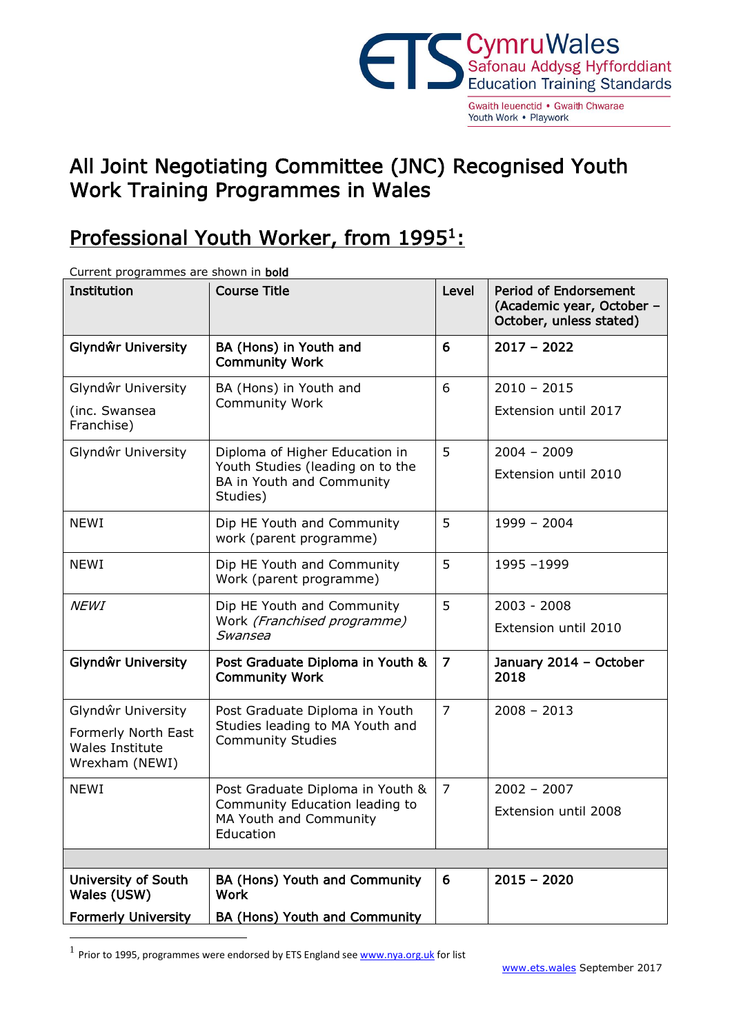

Youth Work . Playwork

## All Joint Negotiating Committee (JNC) Recognised Youth Work Training Programmes in Wales

## Professional Youth Worker, from 1995<sup>1</sup>:

| Current programmes are shown in <b>bold</b>                     |                                                                           |                |                                                                                      |
|-----------------------------------------------------------------|---------------------------------------------------------------------------|----------------|--------------------------------------------------------------------------------------|
| Institution                                                     | <b>Course Title</b>                                                       | Level          | <b>Period of Endorsement</b><br>(Academic year, October -<br>October, unless stated) |
| Glyndŵr University                                              | BA (Hons) in Youth and<br><b>Community Work</b>                           | 6              | $2017 - 2022$                                                                        |
| Glyndŵr University                                              | BA (Hons) in Youth and                                                    | 6              | $2010 - 2015$                                                                        |
| (inc. Swansea<br>Franchise)                                     | <b>Community Work</b>                                                     |                | Extension until 2017                                                                 |
| Glyndŵr University                                              | Diploma of Higher Education in                                            | 5              | $2004 - 2009$                                                                        |
|                                                                 | Youth Studies (leading on to the<br>BA in Youth and Community<br>Studies) |                | Extension until 2010                                                                 |
| <b>NEWI</b>                                                     | Dip HE Youth and Community<br>work (parent programme)                     | 5              | $1999 - 2004$                                                                        |
| <b>NEWI</b>                                                     | Dip HE Youth and Community<br>Work (parent programme)                     | 5              | 1995-1999                                                                            |
| <b>NEWI</b>                                                     | Dip HE Youth and Community<br>Work (Franchised programme)<br>Swansea      | 5              | $2003 - 2008$                                                                        |
|                                                                 |                                                                           |                | Extension until 2010                                                                 |
| Glyndŵr University                                              | Post Graduate Diploma in Youth &<br><b>Community Work</b>                 | $\overline{7}$ | January 2014 - October<br>2018                                                       |
| Glyndŵr University                                              | Post Graduate Diploma in Youth                                            | $\overline{7}$ | $2008 - 2013$                                                                        |
| Formerly North East<br><b>Wales Institute</b><br>Wrexham (NEWI) | Studies leading to MA Youth and<br><b>Community Studies</b>               |                |                                                                                      |
| <b>NEWI</b>                                                     | Post Graduate Diploma in Youth &                                          | $\overline{7}$ | $2002 - 2007$                                                                        |
|                                                                 | Community Education leading to<br>MA Youth and Community<br>Education     |                | Extension until 2008                                                                 |
|                                                                 |                                                                           |                |                                                                                      |
| University of South<br>Wales (USW)                              | BA (Hons) Youth and Community<br><b>Work</b>                              | 6              | $2015 - 2020$                                                                        |
| <b>Formerly University</b>                                      | <b>BA (Hons) Youth and Community</b>                                      |                |                                                                                      |

Current programmes are shown in **bold** 

<u>.</u>

<sup>&</sup>lt;sup>1</sup> Prior to 1995, programmes were endorsed by ETS England se[e www.nya.org.uk](http://www.nya.org.uk/) for list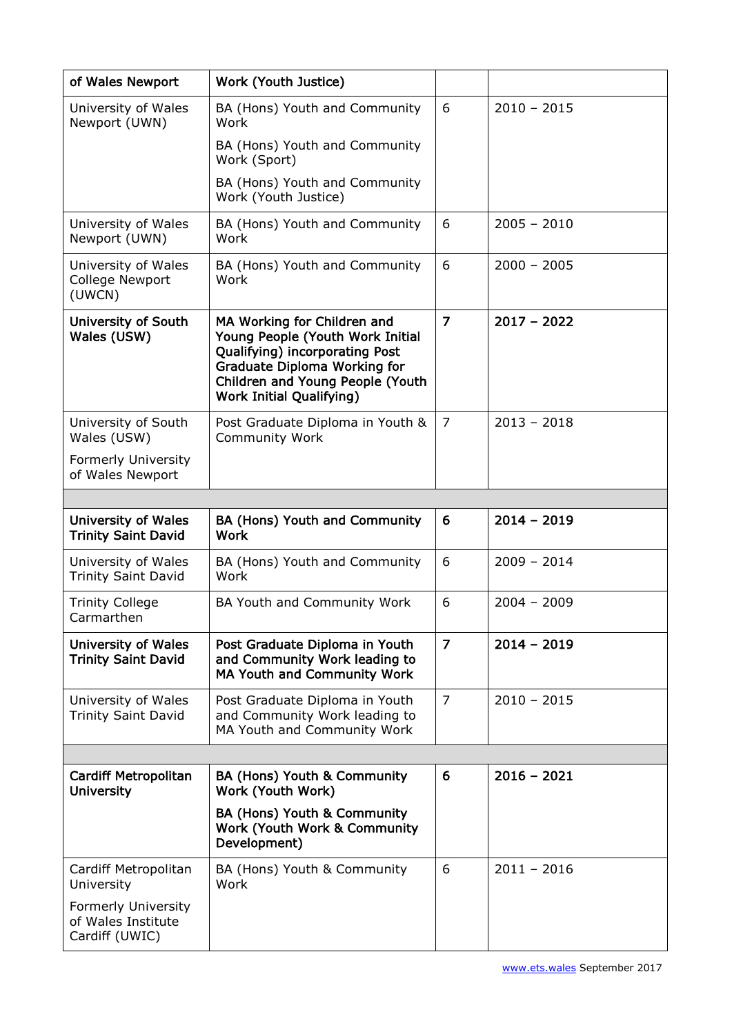| of Wales Newport                                         | Work (Youth Justice)                                                                                                                                                                                            |                |               |  |
|----------------------------------------------------------|-----------------------------------------------------------------------------------------------------------------------------------------------------------------------------------------------------------------|----------------|---------------|--|
| University of Wales<br>Newport (UWN)                     | BA (Hons) Youth and Community<br>Work                                                                                                                                                                           | 6              | $2010 - 2015$ |  |
|                                                          | BA (Hons) Youth and Community<br>Work (Sport)                                                                                                                                                                   |                |               |  |
|                                                          | BA (Hons) Youth and Community<br>Work (Youth Justice)                                                                                                                                                           |                |               |  |
| University of Wales<br>Newport (UWN)                     | BA (Hons) Youth and Community<br>Work                                                                                                                                                                           | 6              | $2005 - 2010$ |  |
| University of Wales<br>College Newport<br>(UWCN)         | BA (Hons) Youth and Community<br>Work                                                                                                                                                                           | 6              | $2000 - 2005$ |  |
| University of South<br>Wales (USW)                       | MA Working for Children and<br>Young People (Youth Work Initial<br>Qualifying) incorporating Post<br><b>Graduate Diploma Working for</b><br>Children and Young People (Youth<br><b>Work Initial Qualifying)</b> | $\overline{7}$ | $2017 - 2022$ |  |
| University of South<br>Wales (USW)                       | Post Graduate Diploma in Youth &<br>Community Work                                                                                                                                                              | $\overline{7}$ | $2013 - 2018$ |  |
| Formerly University<br>of Wales Newport                  |                                                                                                                                                                                                                 |                |               |  |
|                                                          |                                                                                                                                                                                                                 |                |               |  |
| <b>University of Wales</b><br><b>Trinity Saint David</b> | BA (Hons) Youth and Community<br><b>Work</b>                                                                                                                                                                    | 6              | $2014 - 2019$ |  |
| University of Wales<br><b>Trinity Saint David</b>        | BA (Hons) Youth and Community<br>Work                                                                                                                                                                           | 6              | $2009 - 2014$ |  |
| <b>Trinity College</b><br>Carmarthen                     | BA Youth and Community Work                                                                                                                                                                                     | 6              | $2004 - 2009$ |  |
| <b>University of Wales</b><br><b>Trinity Saint David</b> | Post Graduate Diploma in Youth<br>and Community Work leading to<br>MA Youth and Community Work                                                                                                                  | $\overline{7}$ | $2014 - 2019$ |  |
| University of Wales<br><b>Trinity Saint David</b>        | Post Graduate Diploma in Youth<br>and Community Work leading to<br>MA Youth and Community Work                                                                                                                  | $\overline{7}$ | $2010 - 2015$ |  |
|                                                          |                                                                                                                                                                                                                 |                |               |  |
| <b>Cardiff Metropolitan</b><br><b>University</b>         | BA (Hons) Youth & Community<br>Work (Youth Work)                                                                                                                                                                | 6              | $2016 - 2021$ |  |
|                                                          | BA (Hons) Youth & Community<br>Work (Youth Work & Community<br>Development)                                                                                                                                     |                |               |  |
| Cardiff Metropolitan<br>University                       | BA (Hons) Youth & Community<br>Work                                                                                                                                                                             | 6              | $2011 - 2016$ |  |
|                                                          |                                                                                                                                                                                                                 |                |               |  |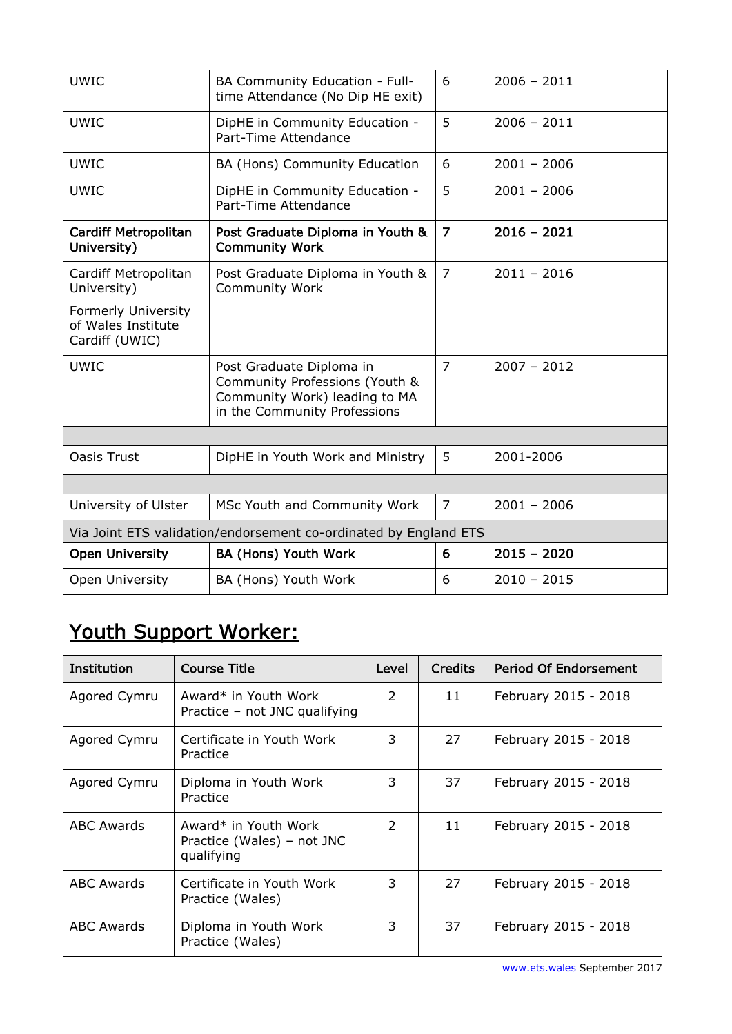| <b>UWIC</b>                                                      | BA Community Education - Full-<br>time Attendance (No Dip HE exit)                                                          | 6              | $2006 - 2011$ |  |
|------------------------------------------------------------------|-----------------------------------------------------------------------------------------------------------------------------|----------------|---------------|--|
| <b>UWIC</b>                                                      | DipHE in Community Education -<br>Part-Time Attendance                                                                      | 5              | $2006 - 2011$ |  |
| <b>UWIC</b>                                                      | BA (Hons) Community Education                                                                                               | 6              | $2001 - 2006$ |  |
| <b>UWIC</b>                                                      | DipHE in Community Education -<br>Part-Time Attendance                                                                      | 5              | $2001 - 2006$ |  |
| <b>Cardiff Metropolitan</b><br>University)                       | Post Graduate Diploma in Youth &<br><b>Community Work</b>                                                                   | $\overline{z}$ | $2016 - 2021$ |  |
| Cardiff Metropolitan<br>University)                              | Post Graduate Diploma in Youth &<br><b>Community Work</b>                                                                   | $\overline{7}$ | $2011 - 2016$ |  |
| Formerly University<br>of Wales Institute<br>Cardiff (UWIC)      |                                                                                                                             |                |               |  |
| <b>UWIC</b>                                                      | Post Graduate Diploma in<br>Community Professions (Youth &<br>Community Work) leading to MA<br>in the Community Professions | $\overline{7}$ | $2007 - 2012$ |  |
|                                                                  |                                                                                                                             |                |               |  |
| <b>Oasis Trust</b>                                               | DipHE in Youth Work and Ministry                                                                                            | 5              | 2001-2006     |  |
|                                                                  |                                                                                                                             |                |               |  |
| University of Ulster                                             | MSc Youth and Community Work                                                                                                | $\overline{7}$ | $2001 - 2006$ |  |
| Via Joint ETS validation/endorsement co-ordinated by England ETS |                                                                                                                             |                |               |  |
| <b>Open University</b>                                           | BA (Hons) Youth Work                                                                                                        | 6              | $2015 - 2020$ |  |
| Open University                                                  | BA (Hons) Youth Work                                                                                                        | 6              | $2010 - 2015$ |  |

## Youth Support Worker:

| <b>Institution</b> | Course Title                                                     | Level         | <b>Credits</b> | <b>Period Of Endorsement</b> |
|--------------------|------------------------------------------------------------------|---------------|----------------|------------------------------|
| Agored Cymru       | Award* in Youth Work<br>Practice - not JNC qualifying            | $\mathcal{P}$ | 11             | February 2015 - 2018         |
| Agored Cymru       | Certificate in Youth Work<br>Practice                            | 3             | 27             | February 2015 - 2018         |
| Agored Cymru       | Diploma in Youth Work<br>Practice                                | 3             | 37             | February 2015 - 2018         |
| <b>ABC Awards</b>  | Award* in Youth Work<br>Practice (Wales) – not JNC<br>qualifying | $\mathcal{P}$ | 11             | February 2015 - 2018         |
| <b>ABC Awards</b>  | Certificate in Youth Work<br>Practice (Wales)                    | 3             | 27             | February 2015 - 2018         |
| <b>ABC Awards</b>  | Diploma in Youth Work<br>Practice (Wales)                        | 3             | 37             | February 2015 - 2018         |